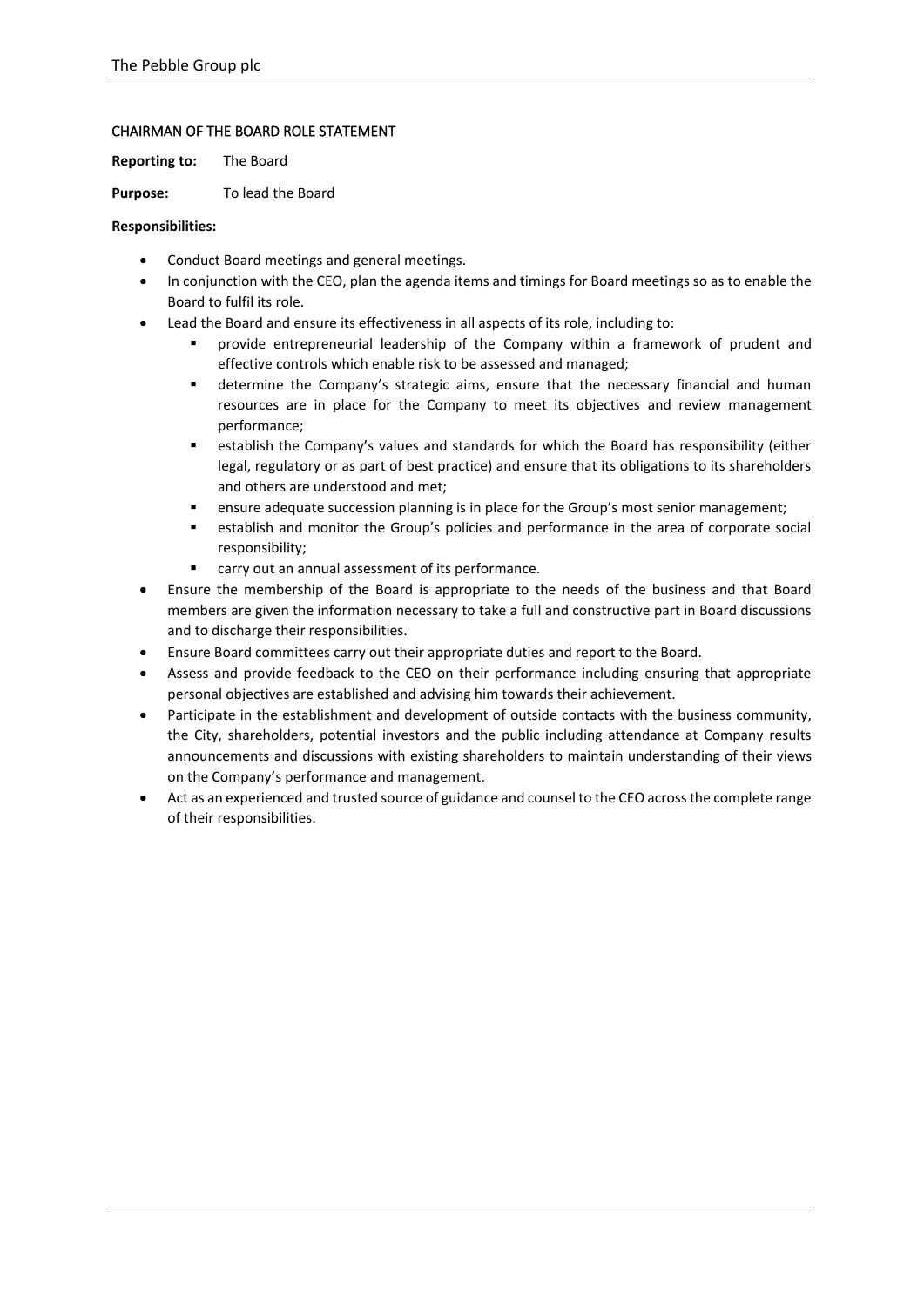# CHAIRMAN OF THE BOARD ROLE STATEMENT

**Reporting to:** The Board

Purpose: To lead the Board

#### **Responsibilities:**

- Conduct Board meetings and general meetings.
- In conjunction with the CEO, plan the agenda items and timings for Board meetings so as to enable the Board to fulfil its role.
- Lead the Board and ensure its effectiveness in all aspects of its role, including to:
	- provide entrepreneurial leadership of the Company within a framework of prudent and effective controls which enable risk to be assessed and managed;
	- **■** determine the Company's strategic aims, ensure that the necessary financial and human resources are in place for the Company to meet its objectives and review management performance;
	- establish the Company's values and standards for which the Board has responsibility (either legal, regulatory or as part of best practice) and ensure that its obligations to its shareholders and others are understood and met;
	- **■** ensure adequate succession planning is in place for the Group's most senior management;
	- establish and monitor the Group's policies and performance in the area of corporate social responsibility;
	- carry out an annual assessment of its performance.
- Ensure the membership of the Board is appropriate to the needs of the business and that Board members are given the information necessary to take a full and constructive part in Board discussions and to discharge their responsibilities.
- Ensure Board committees carry out their appropriate duties and report to the Board.
- Assess and provide feedback to the CEO on their performance including ensuring that appropriate personal objectives are established and advising him towards their achievement.
- Participate in the establishment and development of outside contacts with the business community, the City, shareholders, potential investors and the public including attendance at Company results announcements and discussions with existing shareholders to maintain understanding of their views on the Company's performance and management.
- Act as an experienced and trusted source of guidance and counsel to the CEO across the complete range of their responsibilities.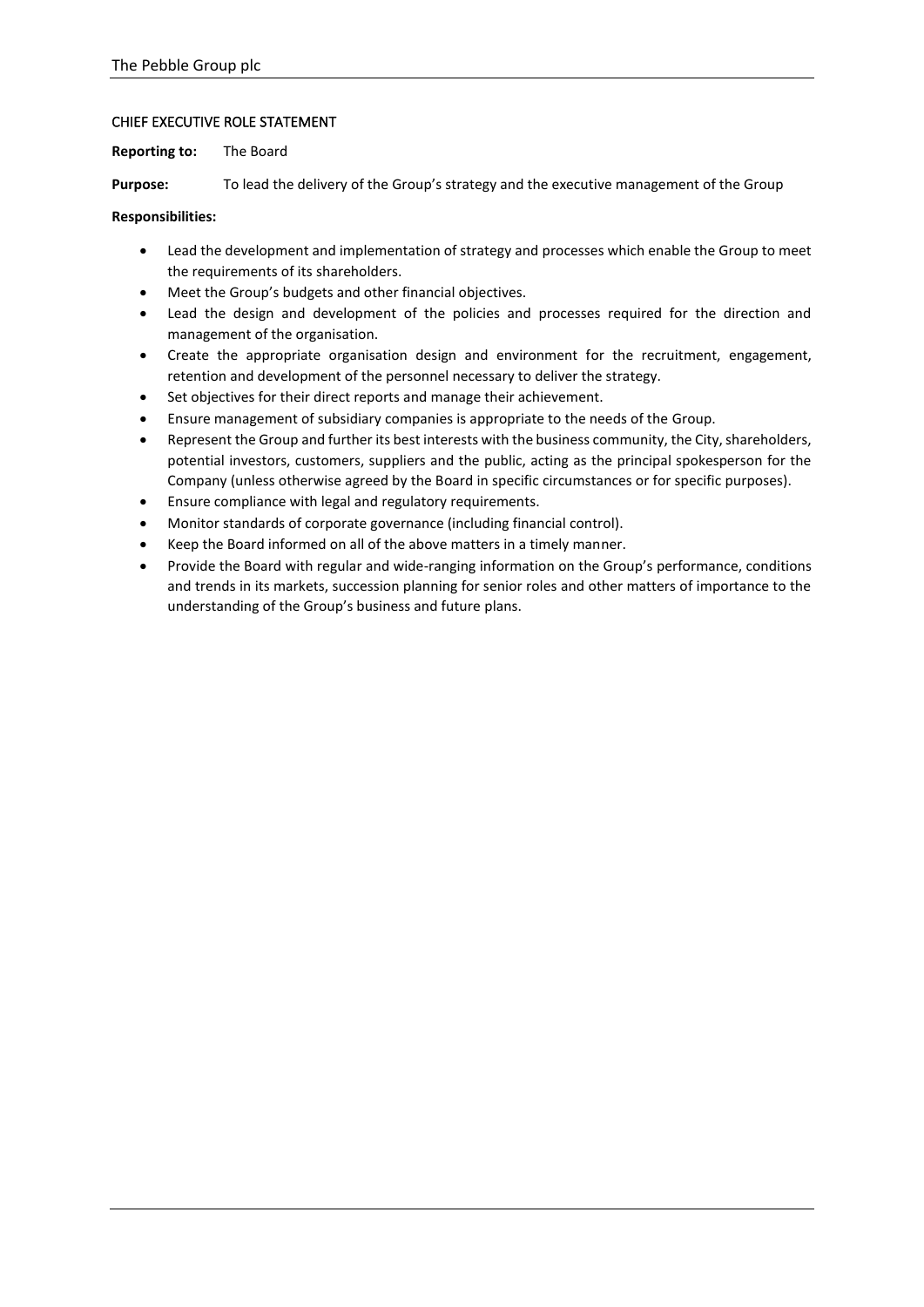# CHIEF EXECUTIVE ROLE STATEMENT

**Reporting to:** The Board

**Purpose:** To lead the delivery of the Group's strategy and the executive management of the Group

# **Responsibilities:**

- Lead the development and implementation of strategy and processes which enable the Group to meet the requirements of its shareholders.
- Meet the Group's budgets and other financial objectives.
- Lead the design and development of the policies and processes required for the direction and management of the organisation.
- Create the appropriate organisation design and environment for the recruitment, engagement, retention and development of the personnel necessary to deliver the strategy.
- Set objectives for their direct reports and manage their achievement.
- Ensure management of subsidiary companies is appropriate to the needs of the Group.
- Represent the Group and further its best interests with the business community, the City, shareholders, potential investors, customers, suppliers and the public, acting as the principal spokesperson for the Company (unless otherwise agreed by the Board in specific circumstances or for specific purposes).
- Ensure compliance with legal and regulatory requirements.
- Monitor standards of corporate governance (including financial control).
- Keep the Board informed on all of the above matters in a timely manner.
- Provide the Board with regular and wide-ranging information on the Group's performance, conditions and trends in its markets, succession planning for senior roles and other matters of importance to the understanding of the Group's business and future plans.